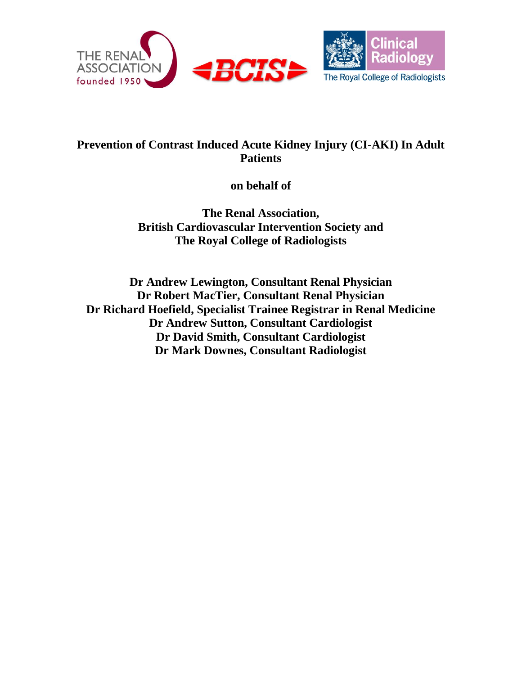



## **Prevention of Contrast Induced Acute Kidney Injury (CI-AKI) In Adult Patients**

**on behalf of**

**The Renal Association, British Cardiovascular Intervention Society and The Royal College of Radiologists**

**Dr Andrew Lewington, Consultant Renal Physician Dr Robert MacTier, Consultant Renal Physician Dr Richard Hoefield, Specialist Trainee Registrar in Renal Medicine Dr Andrew Sutton, Consultant Cardiologist Dr David Smith, Consultant Cardiologist Dr Mark Downes, Consultant Radiologist**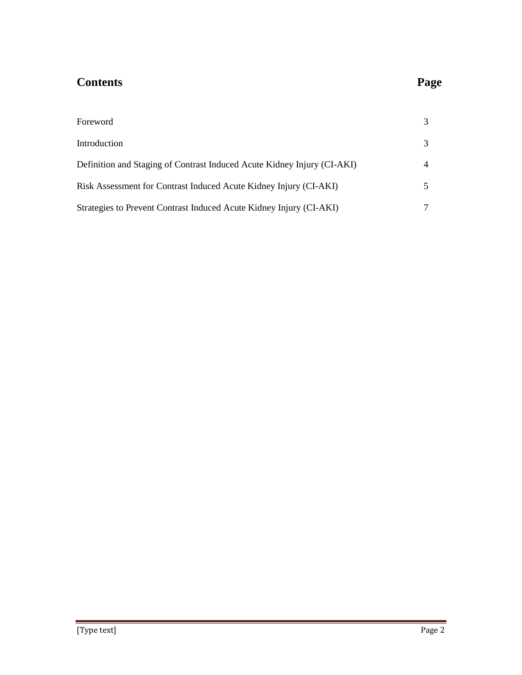# **Contents Page**

| Foreword                                                                |  |
|-------------------------------------------------------------------------|--|
| Introduction                                                            |  |
| Definition and Staging of Contrast Induced Acute Kidney Injury (CI-AKI) |  |
| Risk Assessment for Contrast Induced Acute Kidney Injury (CI-AKI)       |  |
| Strategies to Prevent Contrast Induced Acute Kidney Injury (CI-AKI)     |  |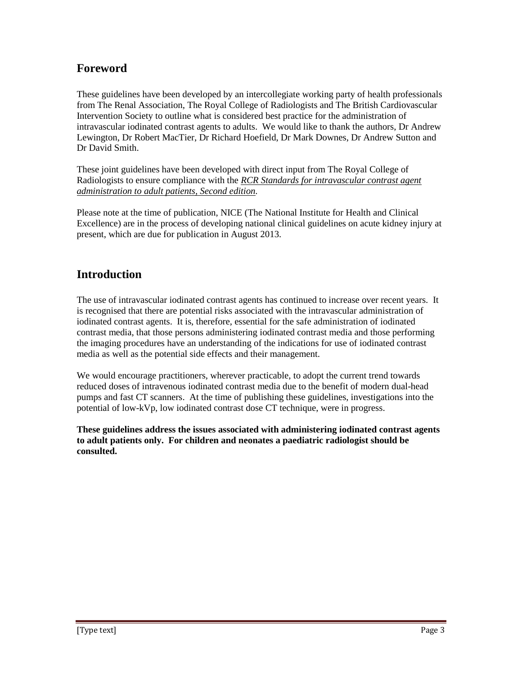### **Foreword**

These guidelines have been developed by an intercollegiate working party of health professionals from The Renal Association, The Royal College of Radiologists and The British Cardiovascular Intervention Society to outline what is considered best practice for the administration of intravascular iodinated contrast agents to adults. We would like to thank the authors, Dr Andrew Lewington, Dr Robert MacTier, Dr Richard Hoefield, Dr Mark Downes, Dr Andrew Sutton and Dr David Smith.

These joint guidelines have been developed with direct input from The Royal College of Radiologists to ensure compliance with the *[RCR Standards for intravascular contrast agent](https://www.rcr.ac.uk/docs/radiology/pdf/BFCR(10)4_Stand_contrast.pdf)  [administration to adult patients, Second edition.](https://www.rcr.ac.uk/docs/radiology/pdf/BFCR(10)4_Stand_contrast.pdf)* 

Please note at the time of publication, NICE (The National Institute for Health and Clinical Excellence) are in the process of developing national clinical guidelines on acute kidney injury at present, which are due for publication in August 2013.

### **Introduction**

The use of intravascular iodinated contrast agents has continued to increase over recent years. It is recognised that there are potential risks associated with the intravascular administration of iodinated contrast agents. It is, therefore, essential for the safe administration of iodinated contrast media, that those persons administering iodinated contrast media and those performing the imaging procedures have an understanding of the indications for use of iodinated contrast media as well as the potential side effects and their management.

We would encourage practitioners, wherever practicable, to adopt the current trend towards reduced doses of intravenous iodinated contrast media due to the benefit of modern dual-head pumps and fast CT scanners. At the time of publishing these guidelines, investigations into the potential of low-kVp, low iodinated contrast dose CT technique, were in progress.

**These guidelines address the issues associated with administering iodinated contrast agents to adult patients only. For children and neonates a paediatric radiologist should be consulted.**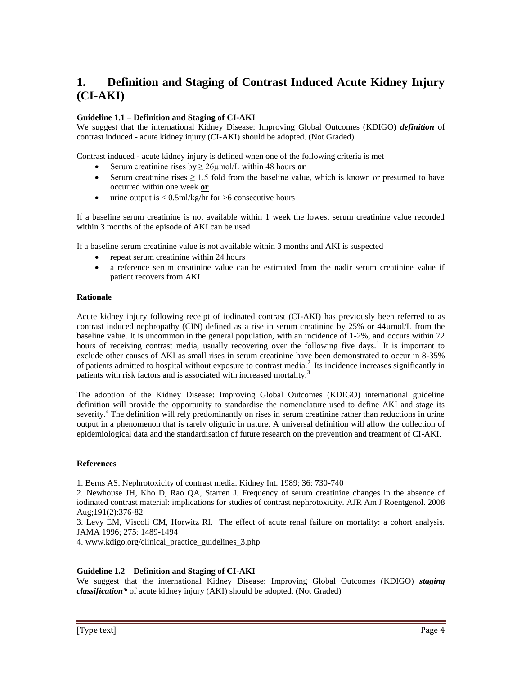### **1. Definition and Staging of Contrast Induced Acute Kidney Injury (CI-AKI)**

### **Guideline 1.1 – Definition and Staging of CI-AKI**

We suggest that the international Kidney Disease: Improving Global Outcomes (KDIGO) *definition* of contrast induced - acute kidney injury (CI-AKI) should be adopted. (Not Graded)

Contrast induced - acute kidney injury is defined when one of the following criteria is met

- Serum creatinine rises  $by \geq 26 \mu m o l/L$  within 48 hours or
- Serum creatinine rises  $\geq 1.5$  fold from the baseline value, which is known or presumed to have occurred within one week **or**
- $\bullet$  urine output is  $\< 0.5$ ml/kg/hr for  $> 6$  consecutive hours

If a baseline serum creatinine is not available within 1 week the lowest serum creatinine value recorded within 3 months of the episode of AKI can be used

If a baseline serum creatinine value is not available within 3 months and AKI is suspected

- repeat serum creatinine within 24 hours
- a reference serum creatinine value can be estimated from the nadir serum creatinine value if patient recovers from AKI

#### **Rationale**

Acute kidney injury following receipt of iodinated contrast (CI-AKI) has previously been referred to as contrast induced nephropathy (CIN) defined as a rise in serum creatinine by 25% or 44µmol/L from the baseline value. It is uncommon in the general population, with an incidence of 1-2%, and occurs within 72 hours of receiving contrast media, usually recovering over the following five days.<sup>1</sup> It is important to exclude other causes of AKI as small rises in serum creatinine have been demonstrated to occur in 8-35% of patients admitted to hospital without exposure to contrast media.<sup>2</sup> Its incidence increases significantly in patients with risk factors and is associated with increased mortality.<sup>3</sup>

The adoption of the Kidney Disease: Improving Global Outcomes (KDIGO) international guideline definition will provide the opportunity to standardise the nomenclature used to define AKI and stage its severity.<sup>4</sup> The definition will rely predominantly on rises in serum creatinine rather than reductions in urine output in a phenomenon that is rarely oliguric in nature. A universal definition will allow the collection of epidemiological data and the standardisation of future research on the prevention and treatment of CI-AKI.

#### **References**

1. Berns AS. Nephrotoxicity of contrast media. Kidney Int. 1989; 36: 730-740

2. Newhouse JH, Kho D, Rao QA, Starren J. [Frequency of serum creatinine changes in the absence of](http://www.ncbi.nlm.nih.gov/pubmed/18647905)  iodinated contrast [material: implications for studies of contrast](http://www.ncbi.nlm.nih.gov/pubmed/18647905) nephrotoxicity. AJR Am J Roentgenol. 2008 Aug;191(2):376-82

3. Levy EM, Viscoli CM, Horwitz RI. The effect of acute renal failure on mortality: a cohort analysis. JAMA 1996; 275: 1489-1494

4. www.kdigo.org/clinical\_practice\_guidelines\_3.php

#### **Guideline 1.2 – Definition and Staging of CI-AKI**

We suggest that the international Kidney Disease: Improving Global Outcomes (KDIGO) *staging classification\** of acute kidney injury (AKI) should be adopted. (Not Graded)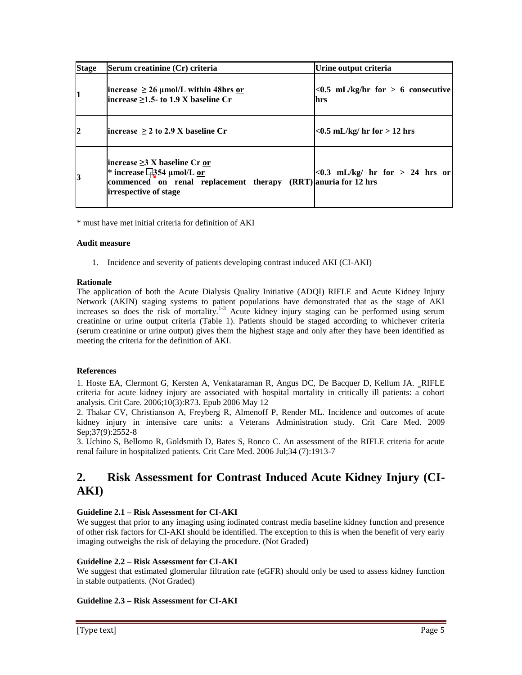| <b>Stage</b> | Serum creatinine (Cr) criteria                                                                                                                                                      | Urine output criteria                            |
|--------------|-------------------------------------------------------------------------------------------------------------------------------------------------------------------------------------|--------------------------------------------------|
| l1           | increase $\geq 26$ µmol/L within 48hrs or<br>lincrease $>1.5$ - to 1.9 X baseline Cr                                                                                                | $\leq 0.5$ mL/kg/hr for $> 6$ consecutive<br>hrs |
| 2            | line <b>2</b> to 2.9 X baseline Cr                                                                                                                                                  | $<$ 0.5 mL/kg/ hr for > 12 hrs                   |
| 3            | $ $ increase $\geq$ 3 X baseline Cr or<br>* increase $\Box$ 354 µmol/L <u>or</u><br>commenced on renal replacement therapy (RRT) anuria for 12 hrs<br><b>lirrespective of stage</b> | $< 0.3$ mL/kg/ hr for $> 24$ hrs or              |

\* must have met initial criteria for definition of AKI

#### **Audit measure**

1. Incidence and severity of patients developing contrast induced AKI (CI-AKI)

#### **Rationale**

The application of both the Acute Dialysis Quality Initiative (ADQI) RIFLE and Acute Kidney Injury Network (AKIN) staging systems to patient populations have demonstrated that as the stage of AKI increases so does the risk of mortality.<sup>1-3</sup> Acute kidney injury staging can be performed using serum creatinine or urine output criteria (Table 1). Patients should be staged according to whichever criteria (serum creatinine or urine output) gives them the highest stage and only after they have been identified as meeting the criteria for the definition of AKI.

#### **References**

1. Hoste EA, Clermont G, Kersten A, Venkataraman R, Angus DC, De Bacquer D, Kellum JA. [RIFLE](http://www.ncbi.nlm.nih.gov/pubmed/16696865)  [criteria for acute kidney injury are associated with hospital mortality in critically ill patients: a cohort](http://www.ncbi.nlm.nih.gov/pubmed/16696865)  [analysis.](http://www.ncbi.nlm.nih.gov/pubmed/16696865) Crit Care. 2006;10(3):R73. Epub 2006 May 12

2. Thakar CV, Christianson A, Freyberg R, Almenoff P, Render ML. [Incidence and outcomes of acute](http://www.ncbi.nlm.nih.gov/pubmed/19602973)  [kidney injury in intensive care units: a Veterans Administration study.](http://www.ncbi.nlm.nih.gov/pubmed/19602973) Crit Care Med. 2009 Sep;37(9):2552-8

3. Uchino S, Bellomo R, Goldsmith D, Bates S, Ronco C. [An assessment of the RIFLE criteria for acute](http://www.ncbi.nlm.nih.gov/pubmed/16715038)  [renal failure in hospitalized patients.](http://www.ncbi.nlm.nih.gov/pubmed/16715038) Crit Care Med. 2006 Jul;34 (7):1913-7

### **2. Risk Assessment for Contrast Induced Acute Kidney Injury (CI-AKI)**

### **Guideline 2.1 – Risk Assessment for CI-AKI**

We suggest that prior to any imaging using iodinated contrast media baseline kidney function and presence of other risk factors for CI-AKI should be identified. The exception to this is when the benefit of very early imaging outweighs the risk of delaying the procedure. (Not Graded)

#### **Guideline 2.2 – Risk Assessment for CI-AKI**

We suggest that estimated glomerular filtration rate (eGFR) should only be used to assess kidney function in stable outpatients. (Not Graded)

### **Guideline 2.3 – Risk Assessment for CI-AKI**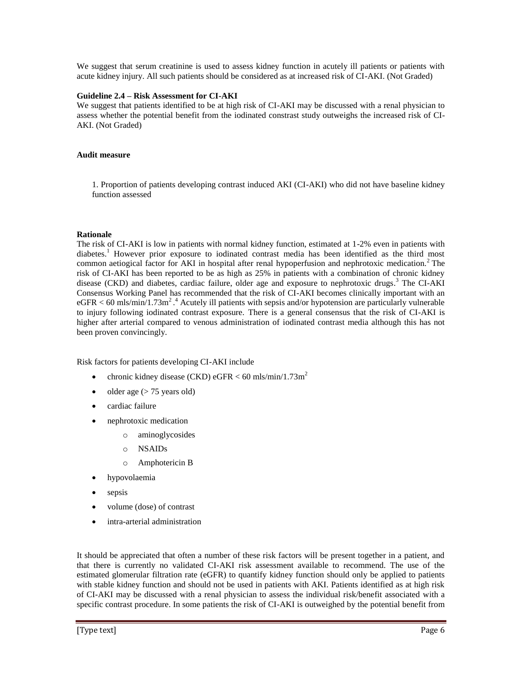We suggest that serum creatinine is used to assess kidney function in acutely ill patients or patients with acute kidney injury. All such patients should be considered as at increased risk of CI-AKI. (Not Graded)

#### **Guideline 2.4 – Risk Assessment for CI-AKI**

We suggest that patients identified to be at high risk of CI-AKI may be discussed with a renal physician to assess whether the potential benefit from the iodinated constrast study outweighs the increased risk of CI-AKI. (Not Graded)

#### **Audit measure**

1. Proportion of patients developing contrast induced AKI (CI-AKI) who did not have baseline kidney function assessed

#### **Rationale**

The risk of CI-AKI is low in patients with normal kidney function, estimated at 1-2% even in patients with diabetes.<sup>1</sup> However prior exposure to iodinated contrast media has been identified as the third most common aetiogical factor for AKI in hospital after renal hypoperfusion and nephrotoxic medication.<sup>2</sup> The risk of CI-AKI has been reported to be as high as 25% in patients with a combination of chronic kidney disease (CKD) and diabetes, cardiac failure, older age and exposure to nephrotoxic drugs. <sup>3</sup> The CI-AKI Consensus Working Panel has recommended that the risk of CI-AKI becomes clinically important with an  $eGFR < 60$  mls/min/1.73m<sup>2</sup>.<sup>4</sup> Acutely ill patients with sepsis and/or hypotension are particularly vulnerable to injury following iodinated contrast exposure. There is a general consensus that the risk of CI-AKI is higher after arterial compared to venous administration of iodinated contrast media although this has not been proven convincingly.

Risk factors for patients developing CI-AKI include

- chronic kidney disease (CKD) eGFR <  $60 \text{ mls/min}/1.73 \text{m}^2$
- older age  $(> 75$  years old)
- cardiac failure
- nephrotoxic medication
	- o aminoglycosides
	- o NSAIDs
	- o Amphotericin B
- hypovolaemia
- sepsis
- volume (dose) of contrast
- intra-arterial administration

It should be appreciated that often a number of these risk factors will be present together in a patient, and that there is currently no validated CI-AKI risk assessment available to recommend. The use of the estimated glomerular filtration rate (eGFR) to quantify kidney function should only be applied to patients with stable kidney function and should not be used in patients with AKI. Patients identified as at high risk of CI-AKI may be discussed with a renal physician to assess the individual risk/benefit associated with a specific contrast procedure. In some patients the risk of CI-AKI is outweighed by the potential benefit from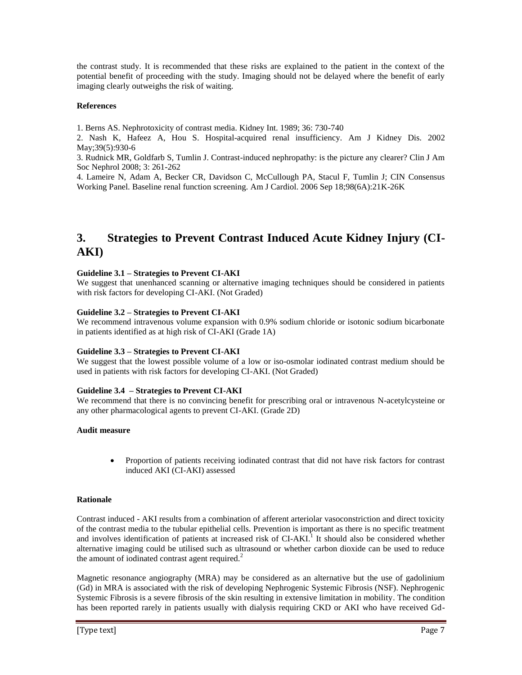the contrast study. It is recommended that these risks are explained to the patient in the context of the potential benefit of proceeding with the study. Imaging should not be delayed where the benefit of early imaging clearly outweighs the risk of waiting.

#### **References**

1. Berns AS. Nephrotoxicity of contrast media. Kidney Int. 1989; 36: 730-740

2. [Nash](http://www.ncbi.nlm.nih.gov/pubmed?term=%22Nash%20K%22%5BAuthor%5D) K, [Hafeez A,](http://www.ncbi.nlm.nih.gov/pubmed?term=%22Hafeez%20A%22%5BAuthor%5D) [Hou S.](http://www.ncbi.nlm.nih.gov/pubmed?term=%22Hou%20S%22%5BAuthor%5D) Hospital-acquired renal insufficiency. [Am J Kidney](http://www.ncbi.nlm.nih.gov/pubmed?term=Nash%20and%20acute%20renal%20failure%20and%202002##) Dis. 2002 May;39(5):930-6

3. Rudnick MR, Goldfarb S, Tumlin J. Contrast-induced nephropathy: is the picture any clearer? Clin J Am Soc Nephrol 2008; 3: 261-262

4. Lameire N, Adam A, Becker CR, Davidson C, McCullough PA, Stacul F, Tumlin J; CIN Consensus Working Panel. [Baseline renal function screening.](http://www.ncbi.nlm.nih.gov/pubmed/16949377) Am J Cardiol. 2006 Sep 18;98(6A):21K-26K

### **3. Strategies to Prevent Contrast Induced Acute Kidney Injury (CI-AKI)**

#### **Guideline 3.1 – Strategies to Prevent CI-AKI**

We suggest that unenhanced scanning or alternative imaging techniques should be considered in patients with risk factors for developing CI-AKI. (Not Graded)

#### **Guideline 3.2 – Strategies to Prevent CI-AKI**

We recommend intravenous volume expansion with 0.9% sodium chloride or isotonic sodium bicarbonate in patients identified as at high risk of CI-AKI (Grade 1A)

#### **Guideline 3.3 – Strategies to Prevent CI-AKI**

We suggest that the lowest possible volume of a low or iso-osmolar iodinated contrast medium should be used in patients with risk factors for developing CI-AKI. (Not Graded)

#### **Guideline 3.4 – Strategies to Prevent CI-AKI**

We recommend that there is no convincing benefit for prescribing oral or intravenous N-acetylcysteine or any other pharmacological agents to prevent CI-AKI. (Grade 2D)

#### **Audit measure**

 Proportion of patients receiving iodinated contrast that did not have risk factors for contrast induced AKI (CI-AKI) assessed

#### **Rationale**

Contrast induced - AKI results from a combination of afferent arteriolar vasoconstriction and direct toxicity of the contrast media to the tubular epithelial cells. Prevention is important as there is no specific treatment and involves identification of patients at increased risk of  $CI-AKI$ .<sup>1</sup> It should also be considered whether alternative imaging could be utilised such as ultrasound or whether carbon dioxide can be used to reduce the amount of iodinated contrast agent required.<sup>2</sup>

Magnetic resonance angiography (MRA) may be considered as an alternative but the use of gadolinium (Gd) in MRA is associated with the risk of developing Nephrogenic Systemic Fibrosis (NSF). Nephrogenic Systemic Fibrosis is a severe fibrosis of the skin resulting in extensive limitation in mobility. The condition has been reported rarely in patients usually with dialysis requiring CKD or AKI who have received Gd-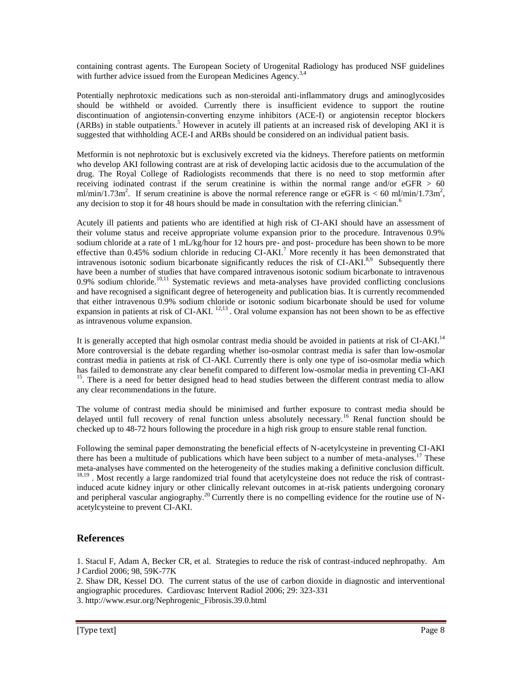containing contrast agents. The European Society of Urogenital Radiology has produced NSF guidelines with further advice issued from the European Medicines Agency.<sup>3,4</sup>

Potentially nephrotoxic medications such as non-steroidal anti-inflammatory drugs and aminoglycosides should be withheld or avoided. Currently there is insufficient evidence to support the routine discontinuation of angiotensin-converting enzyme inhibitors (ACE-I) or angiotensin receptor blockers (ARBs) in stable outpatients.<sup>5</sup> However in acutely ill patients at an increased risk of developing AKI it is suggested that withholding ACE-I and ARBs should be considered on an individual patient basis.

Metformin is not nephrotoxic but is exclusively excreted via the kidneys. Therefore patients on metformin who develop AKI following contrast are at risk of developing lactic acidosis due to the accumulation of the drug. The Royal College of Radiologists recommends that there is no need to stop metformin after receiving iodinated contrast if the serum creatinine is within the normal range and/or  $eGFR > 60$  $m/min/1.73m^2$ . If serum creatinine is above the normal reference range or eGFR is < 60 ml/min/1.73m<sup>2</sup>, any decision to stop it for 48 hours should be made in consultation with the referring clinician.<sup>6</sup>

Acutely ill patients and patients who are identified at high risk of CI-AKI should have an assessment of their volume status and receive appropriate volume expansion prior to the procedure. Intravenous 0.9% sodium chloride at a rate of 1 mL/kg/hour for 12 hours pre- and post- procedure has been shown to be more effective than 0.45% sodium chloride in reducing CI-AKI.<sup>7</sup> More recently it has been demonstrated that intravenous isotonic sodium bicarbonate significantly reduces the risk of CI-AKI.<sup>8,9</sup> Subsequently there have been a number of studies that have compared intravenous isotonic sodium bicarbonate to intravenous 0.9% sodium chloride.<sup>10,11</sup> Systematic reviews and meta-analyses have provided conflicting conclusions and have recognised a significant degree of heterogeneity and publication bias. It is currently recommended that either intravenous 0.9% sodium chloride or isotonic sodium bicarbonate should be used for volume expansion in patients at risk of CI-AKI. 12,13 . Oral volume expansion has not been shown to be as effective as intravenous volume expansion.

It is generally accepted that high osmolar contrast media should be avoided in patients at risk of CI-AKI.<sup>14</sup> More controversial is the debate regarding whether iso-osmolar contrast media is safer than low-osmolar contrast media in patients at risk of CI-AKI. Currently there is only one type of iso-osmolar media which has failed to demonstrate any clear benefit compared to different low-osmolar media in preventing CI-AKI <sup>15</sup>. There is a need for better designed head to head studies between the different contrast media to allow any clear recommendations in the future.

The volume of contrast media should be minimised and further exposure to contrast media should be delayed until full recovery of renal function unless absolutely necessary.<sup>16</sup> Renal function should be checked up to 48-72 hours following the procedure in a high risk group to ensure stable renal function.

Following the seminal paper demonstrating the beneficial effects of N-acetylcysteine in preventing CI-AKI there has been a multitude of publications which have been subject to a number of meta-analyses.<sup>17</sup> These meta-analyses have commented on the heterogeneity of the studies making a definitive conclusion difficult. <sup>18,19</sup>. Most recently a large randomized trial found that acetylcysteine does not reduce the risk of contrastinduced acute kidney injury or other clinically relevant outcomes in at-risk patients undergoing coronary and peripheral vascular angiography.<sup>20</sup> Currently there is no compelling evidence for the routine use of Nacetylcysteine to prevent CI-AKI.

### **References**

1. Stacul F, Adam A, Becker CR, et al. Strategies to reduce the risk of contrast-induced nephropathy. Am J Cardiol 2006; 98, 59K-77K

2. Shaw DR, Kessel DO. The current status of the use of carbon dioxide in diagnostic and interventional angiographic procedures. Cardiovasc Intervent Radiol 2006; 29: 323-331 3. http://www.esur.org/Nephrogenic\_Fibrosis.39.0.html